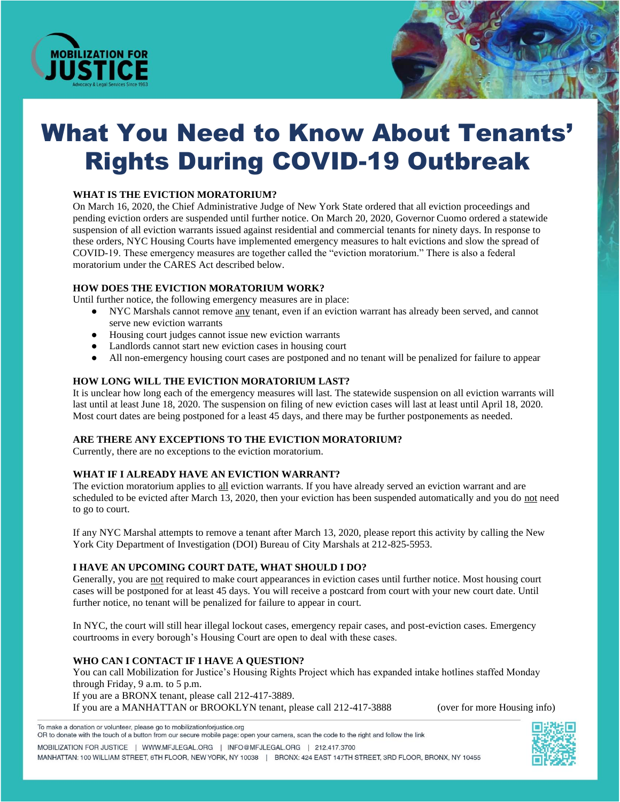

# What You Need to Know About Tenants' Rights During COVID-19 Outbreak

## **WHAT IS THE EVICTION MORATORIUM?**

On March 16, 2020, the Chief Administrative Judge of New York State ordered that all eviction proceedings and pending eviction orders are suspended until further notice. On March 20, 2020, Governor Cuomo ordered a statewide suspension of all eviction warrants issued against residential and commercial tenants for ninety days. In response to these orders, NYC Housing Courts have implemented emergency measures to halt evictions and slow the spread of COVID-19. These emergency measures are together called the "eviction moratorium." There is also a federal moratorium under the CARES Act described below.

#### **HOW DOES THE EVICTION MORATORIUM WORK?**

Until further notice, the following emergency measures are in place:

- NYC Marshals cannot remove any tenant, even if an eviction warrant has already been served, and cannot serve new eviction warrants
- Housing court judges cannot issue new eviction warrants
- Landlords cannot start new eviction cases in housing court
- All non-emergency housing court cases are postponed and no tenant will be penalized for failure to appear

#### **HOW LONG WILL THE EVICTION MORATORIUM LAST?**

It is unclear how long each of the emergency measures will last. The statewide suspension on all eviction warrants will last until at least June 18, 2020. The suspension on filing of new eviction cases will last at least until April 18, 2020. Most court dates are being postponed for a least 45 days, and there may be further postponements as needed.

## **ARE THERE ANY EXCEPTIONS TO THE EVICTION MORATORIUM?**

Currently, there are no exceptions to the eviction moratorium.

## **WHAT IF I ALREADY HAVE AN EVICTION WARRANT?**

The eviction moratorium applies to all eviction warrants. If you have already served an eviction warrant and are scheduled to be evicted after March 13, 2020, then your eviction has been suspended automatically and you do not need to go to court.

If any NYC Marshal attempts to remove a tenant after March 13, 2020, please report this activity by calling the New York City Department of Investigation (DOI) Bureau of City Marshals at 212-825-5953.

#### **I HAVE AN UPCOMING COURT DATE, WHAT SHOULD I DO?**

Generally, you are not required to make court appearances in eviction cases until further notice. Most housing court cases will be postponed for at least 45 days. You will receive a postcard from court with your new court date. Until further notice, no tenant will be penalized for failure to appear in court.

In NYC, the court will still hear illegal lockout cases, emergency repair cases, and post-eviction cases. Emergency courtrooms in every borough's Housing Court are open to deal with these cases.

## **WHO CAN I CONTACT IF I HAVE A QUESTION?**

You can call Mobilization for Justice's Housing Rights Project which has expanded intake hotlines staffed Monday through Friday, 9 a.m. to 5 p.m.

If you are a BRONX tenant, please call 212-417-3889.

If you are a MANHATTAN or BROOKLYN tenant, please call 212-417-3888 (over for more Housing info)

To make a donation or volunteer, please go to mobilizationforjustice.org

OR to donate with the touch of a button from our secure mobile page: open your camera, scan the code to the right and follow the link MOBILIZATION FOR JUSTICE | WWW.MFJLEGAL.ORG | INFO@MFJLEGAL.ORG | 212.417.3700 MANHATTAN: 100 WILLIAM STREET, 6TH FLOOR, NEW YORK, NY 10038 | BRONX: 424 EAST 147TH STREET, 3RD FLOOR, BRONX, NY 10455